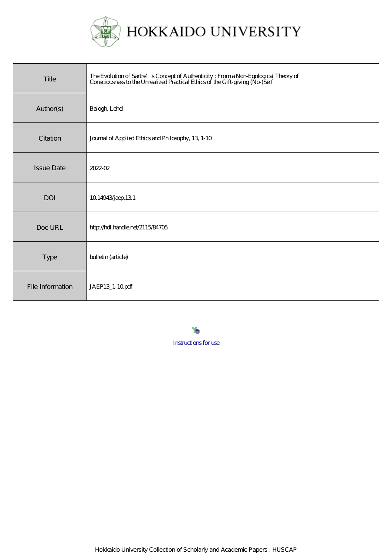

| Title             | The Evolution of Sartre's Concept of Authenticity : From a Non-Egological Theory of<br>Consciousness to the Unrealized Practical Ethics of the Gift-giving (No-)Self |
|-------------------|----------------------------------------------------------------------------------------------------------------------------------------------------------------------|
| Author(s)         | Balogh Lehel                                                                                                                                                         |
| Citation          | Journal of Applied Ethics and Philosophy, 13, 1-10                                                                                                                   |
| <b>Issue Date</b> | 2022-02                                                                                                                                                              |
| <b>DOI</b>        | 10.14943 jaep 13.1                                                                                                                                                   |
| Doc URL           | http://hdl.handle.net/2115/84705                                                                                                                                     |
| Type              | bulletin (article)                                                                                                                                                   |
| File Information  | JAEP13_1-10pdf                                                                                                                                                       |

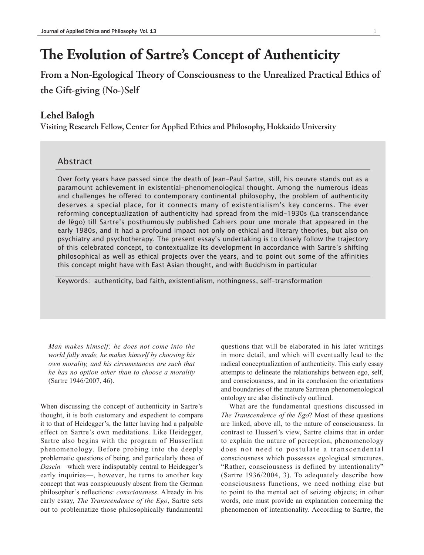## **The Evolution of Sartre's Concept of Authenticity**

**From a Non-Egological Theory of Consciousness to the Unrealized Practical Ethics of the Gift-giving (No-)Self**

## **Lehel Balogh**

**Visiting Research Fellow, Center for Applied Ethics and Philosophy, Hokkaido University**

## Abstract

Over forty years have passed since the death of Jean-Paul Sartre, still, his oeuvre stands out as a paramount achievement in existential-phenomenological thought. Among the numerous ideas and challenges he offered to contemporary continental philosophy, the problem of authenticity deserves a special place, for it connects many of existentialism's key concerns. The ever reforming conceptualization of authenticity had spread from the mid-1930s (La transcendance de l' égo) till Sartre's posthumously published Cahiers pour une morale that appeared in the early 1980s, and it had a profound impact not only on ethical and literary theories, but also on psychiatry and psychotherapy. The present essay's undertaking is to closely follow the trajectory of this celebrated concept, to contextualize its development in accordance with Sartre's shifting philosophical as well as ethical projects over the years, and to point out some of the affinities this concept might have with East Asian thought, and with Buddhism in particular

Keywords: authenticity, bad faith, existentialism, nothingness, self-transformation

*Man makes himself; he does not come into the world fully made, he makes himself by choosing his own morality, and his circumstances are such that he has no option other than to choose a morality* (Sartre 1946/2007, 46).

When discussing the concept of authenticity in Sartre's thought, it is both customary and expedient to compare it to that of Heidegger's, the latter having had a palpable effect on Sartre's own meditations. Like Heidegger, Sartre also begins with the program of Husserlian phenomenology. Before probing into the deeply problematic questions of being, and particularly those of *Dasein*—which were indisputably central to Heidegger's early inquiries—, however, he turns to another key concept that was conspicuously absent from the German philosopher's reflections: *consciousness*. Already in his early essay, *The Transcendence of the Ego*, Sartre sets out to problematize those philosophically fundamental

questions that will be elaborated in his later writings in more detail, and which will eventually lead to the radical conceptualization of authenticity. This early essay attempts to delineate the relationships between ego, self, and consciousness, and in its conclusion the orientations and boundaries of the mature Sartrean phenomenological ontology are also distinctively outlined.

What are the fundamental questions discussed in *The Transcendence of the Ego*? Most of these questions are linked, above all, to the nature of consciousness. In contrast to Husserl's view, Sartre claims that in order to explain the nature of perception, phenomenology does not need to postulate a transcendental consciousness which possesses egological structures. "Rather, consciousness is defined by intentionality" (Sartre 1936/2004, 3). To adequately describe how consciousness functions, we need nothing else but to point to the mental act of seizing objects; in other words, one must provide an explanation concerning the phenomenon of intentionality. According to Sartre, the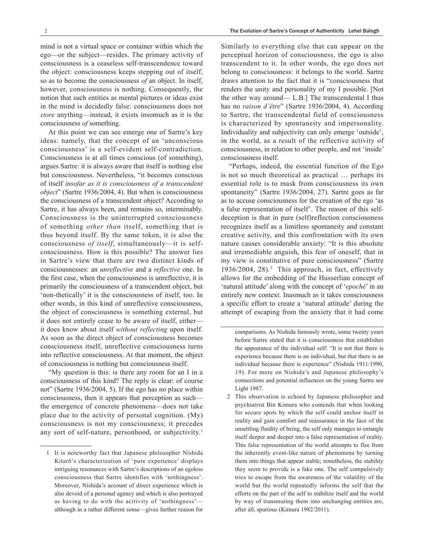mind is not a virtual space or container within which the ego—or the subject—resides. The primary activity of consciousness is a ceaseless self-transcendence toward the object: consciousness keeps stepping out of itself, so as to become the consciousness *of* an object. In itself, however, consciousness is nothing. Consequently, the notion that such entities as mental pictures or ideas exist in the mind is decidedly false: consciousness does not *store* anything—instead, it exists insomuch as it is the consciousness *of* something.

At this point we can see emerge one of Sartre's key ideas: namely, that the concept of an 'unconscious consciousness' is a self-evident self-contradiction. Consciousness is at all times conscious (of something), argues Sartre: it is always aware that itself is nothing else but consciousness. Nevertheless, "it becomes conscious of itself *insofar as it is consciousness of a transcendent object*" (Sartre 1936/2004, 4). But when is consciousness the consciousness of a transcendent object? According to Sartre, it has always been, and remains so, interminably. Consciousness is the uninterrupted consciousness of something *other than* itself, something that is thus beyond itself. By the same token, it is also the consciousness *of itself*, simultaneously—it is selfconsciousness. How is this possible? The answer lies in Sartre's view that there are two distinct kinds of consciousnesses: an *unreflective* and a *reflective* one. In the first case, when the consciousness is unreflective, it is primarily the consciousness of a transcendent object, but 'non-thetically' it is the consciousness of itself, too. In other words, in this kind of unreflective consciousness, the object of consciousness is something external, but it does not entirely cease to be aware of itself, either it does know about itself *without reflecting* upon itself. As soon as the direct object of consciousness becomes consciousness itself, unreflective consciousness turns into reflective consciousness. At that moment, the object of consciousness is nothing but consciousness itself.

"My question is this: is there any room for an I in a consciousness of this kind? The reply is clear: of course not" (Sartre 1936/2004, 5). If the ego has no place within consciousness, then it appears that perception as such the emergence of concrete phenomena—does not take place due to the activity of personal cognition. (My) consciousness is not my consciousness; it precedes any sort of self-nature, personhood, or subjectivity.<sup>1</sup>

Similarly to everything else that can appear on the perceptual horizon of consciousness, the ego is also transcendent to it. In other words, the ego does not belong to consciousness: it belongs to the world. Sartre draws attention to the fact that it is "consciousness that renders the unity and personality of my I possible. [Not the other way around— L.B.] The transcendental I thus has no *raison d'être*" (Sartre 1936/2004, 4). According to Sartre, the transcendental field of consciousness is characterized by spontaneity and impersonality. Individuality and subjectivity can only emerge 'outside', in the world, as a result of the reflective activity of consciousness, in relation to other people, and not 'inside' consciousness itself.

"Perhaps, indeed, the essential function of the Ego is not so much theoretical as practical … perhaps its essential role is to mask from consciousness its own spontaneity" (Sartre 1936/2004, 27). Sartre goes as far as to accuse consciousness for the creation of the ego 'as a false representation of itself'. The reason of this selfdeception is that in pure (self)reflection consciousness recognizes itself as a limitless spontaneity and constant creative activity, and this confrontation with its own nature causes considerable anxiety: "It is this absolute and irremediable anguish, this fear of oneself, that in my view is constitutive of pure consciousness" (Sartre 1936/2004, 28).<sup>2</sup> This approach, in fact, effectively allows for the embedding of the Husserlian concept of 'natural attitude' along with the concept of '*epoché*' in an entirely new context. Inasmuch as it takes consciousness a specific effort to create a 'natural attitude' during the attempt of escaping from the anxiety that it had come

2 This observation is echoed by Japanese philosopher and psychiatrist Bin Kimura who contends that when looking for secure spots by which the self could anchor itself in reality and gain comfort and reassurance in the face of the unsettling fluidity of being, the self only manages to entangle itself deeper and deeper into a false representation of reality. This false representation of the world attempts to flee from the inherently event-like nature of phenomena by turning them into things that appear stable; nonetheless, the stability they seem to provide is a fake one. The self compulsively tries to escape from the awareness of the volatility of the world but the world repeatedly informs the self that the efforts on the part of the self to stabilize itself and the world by way of transmuting them into unchanging entities are, after all, spurious (Kimura 1982/2011).

<sup>1</sup> It is noteworthy fact that Japanese philosopher Nishida Kitarō's characterization of 'pure experience' displays intriguing resonances with Sartre's descriptions of an egoless consciousness that Sartre identifies with 'nothingness'. Moreover, Nishida's account of direct experience which is also devoid of a personal agency and which is also portrayed as having to do with the acitivity of 'nothingness' although in a rather different sense—gives further reason for

comparisons. As Nishida famously wrote, some twenty years before Sartre stated that it is consciousness that establishes the appearance of the individual self: "It is not that there is experience because there is an individual, but that there is an individual because there is experience" (Nishida 1911/1990, 19). For more on Nishida's and Japanese philosophy's connections and potential influences on the young Sartre see Light 1987.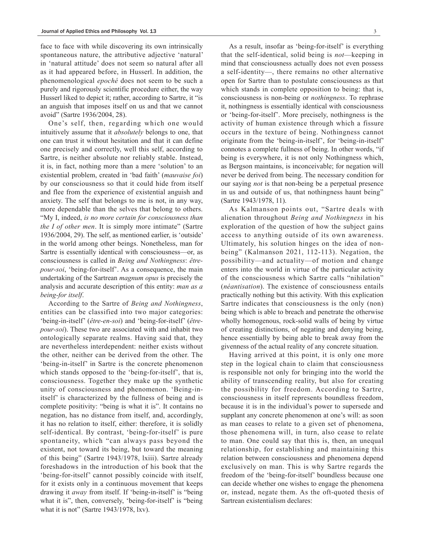face to face with while discovering its own intrinsically spontaneous nature, the attributive adjective 'natural' in 'natural attitude' does not seem so natural after all as it had appeared before, in Husserl. In addition, the phenomenological *epoché* does not seem to be such a purely and rigorously scientific procedure either, the way Husserl liked to depict it; rather, according to Sartre, it "is an anguish that imposes itself on us and that we cannot avoid" (Sartre 1936/2004, 28).

One's self, then, regarding which one would intuitively assume that it *absolutely* belongs to one, that one can trust it without hesitation and that it can define one precisely and correctly, well this self, according to Sartre, is neither absolute nor reliably stable. Instead, it is, in fact, nothing more than a mere 'solution' to an existential problem, created in 'bad faith' (*mauvaise foi*) by our consciousness so that it could hide from itself and flee from the experience of existential anguish and anxiety. The self that belongs to me is not, in any way, more dependable than the selves that belong to others. "My I, indeed, *is no more certain for consciousness than the I of other men*. It is simply more intimate" (Sartre 1936/2004, 29). The self, as mentioned earlier, is 'outside' in the world among other beings. Nonetheless, man for Sartre is essentially identical with consciousness—or, as consciousness is called in *Being and Nothingness*: *êtrepour-soi*, 'being-for-itself'. As a consequence, the main undertaking of the Sartrean *magnum opus* is precisely the analysis and accurate description of this entity: *man as a being-for itself*.

According to the Sartre of *Being and Nothingness*, entities can be classified into two major categories: 'being-in-itself' (*être-en-soi*) and 'being-for-itself' (*êtrepour-soi*). These two are associated with and inhabit two ontologically separate realms. Having said that, they are nevertheless interdependent: neither exists without the other, neither can be derived from the other. The 'being-in-itself' in Sartre is the concrete phenomenon which stands opposed to the 'being-for-itself', that is, consciousness. Together they make up the synthetic unity of consciousness and phenomenon. 'Being-initself' is characterized by the fullness of being and is complete positivity: "being is what it is". It contains no negation, has no distance from itself, and, accordingly, it has no relation to itself, either: therefore, it is solidly self-identical. By contrast, 'being-for-itself' is pure spontaneity, which "can always pass beyond the existent, not toward its being, but toward the meaning of this being" (Sartre 1943/1978, lxiii). Sartre already foreshadows in the introduction of his book that the 'being-for-itself' cannot possibly coincide with itself, for it exists only in a continuous movement that keeps drawing it *away* from itself. If 'being-in-itself' is "being what it is", then, conversely, 'being-for-itself' is "being what it is not" (Sartre 1943/1978, lxv).

As a result, insofar as 'being-for-itself' is everything that the self-identical, solid being is *not*—keeping in mind that consciousness actually does not even possess a self-identity—, there remains no other alternative open for Sartre than to postulate consciousness as that which stands in complete opposition to being: that is, consciousness is non-being or *nothingness*. To rephrase it, nothingness is essentially identical with consciousness or 'being-for-itself'. More precisely, nothingness is the activity of human existence through which a fissure occurs in the texture of being. Nothingness cannot originate from the 'being-in-itself', for 'being-in-itself' connotes a complete fullness of being. In other words, "if being is everywhere, it is not only Nothingness which, as Bergson maintains, is inconceivable; for negation will never be derived from being. The necessary condition for our saying *not* is that non-being be a perpetual presence in us and outside of us, that nothingness haunt being" (Sartre 1943/1978, 11).

As Kalmanson points out, "Sartre deals with alienation throughout *Being and Nothingness* in his exploration of the question of how the subject gains access to anything outside of its own awareness. Ultimately, his solution hinges on the idea of nonbeing" (Kalmanson 2021, 112-113). Negation, the possibility—and actuality—of motion and change enters into the world in virtue of the particular activity of the consciousness which Sartre calls "nihilation" (*néantisation*). The existence of consciousness entails practically nothing but this activity. With this explication Sartre indicates that consciousness is the only (non) being which is able to breach and penetrate the otherwise wholly homogenous, rock-solid walls of being by virtue of creating distinctions, of negating and denying being, hence essentially by being able to break away from the givenness of the actual reality of any concrete situation.

Having arrived at this point, it is only one more step in the logical chain to claim that consciousness is responsible not only for bringing into the world the ability of transcending reality, but also for creating the possibility for freedom. According to Sartre, consciousness in itself represents boundless freedom, because it is in the individual's power to supersede and supplant any concrete phenomenon at one's will: as soon as man ceases to relate to a given set of phenomena, those phenomena will, in turn, also cease to relate to man. One could say that this is, then, an unequal relationship, for establishing and maintaining this relation between consciousness and phenomena depend exclusively on man. This is why Sartre regards the freedom of the 'being-for-itself' boundless because one can decide whether one wishes to engage the phenomena or, instead, negate them. As the oft-quoted thesis of Sartrean existentialism declares: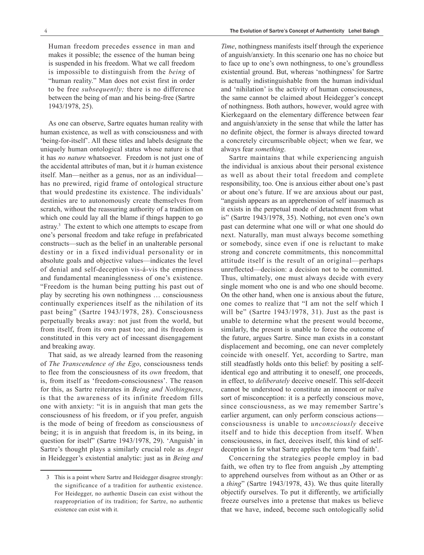Human freedom precedes essence in man and makes it possible; the essence of the human being is suspended in his freedom. What we call freedom is impossible to distinguish from the *being* of "human reality." Man does not exist first in order to be free *subsequently;* there is no difference between the being of man and his being-free (Sartre 1943/1978, 25).

As one can observe, Sartre equates human reality with human existence, as well as with consciousness and with 'being-for-itself'. All these titles and labels designate the uniquely human ontological status whose nature is that it has *no nature* whatsoever. Freedom is not just one of the accidental attributes of man, but it *is* human existence itself. Man—neither as a genus, nor as an individual has no prewired, rigid frame of ontological structure that would predestine its existence. The individuals' destinies are to autonomously create themselves from scratch, without the reassuring authority of a tradition on which one could lay all the blame if things happen to go astray.3 The extent to which one attempts to escape from one's personal freedom and take refuge in prefabricated constructs—such as the belief in an unalterable personal destiny or in a fixed individual personality or in absolute goals and objective values—indicates the level of denial and self-deception vis-á-vis the emptiness and fundamental meaninglessness of one's existence. "Freedom is the human being putting his past out of play by secreting his own nothingness … consciousness continually experiences itself as the nihilation of its past being" (Sartre 1943/1978, 28). Consciousness perpetually breaks away: not just from the world, but from itself, from its own past too; and its freedom is constituted in this very act of incessant disengagement and breaking away.

That said, as we already learned from the reasoning of *The Transcendence of the Ego*, consciousness tends to flee from the consciousness of its *own* freedom, that is, from itself as 'freedom-consciousness'. The reason for this, as Sartre reiterates in *Being and Nothingness*, is that the awareness of its infinite freedom fills one with anxiety: "it is in anguish that man gets the consciousness of his freedom, or if you prefer, anguish is the mode of being of freedom as consciousness of being; it is in anguish that freedom is, in its being, in question for itself" (Sartre 1943/1978, 29). 'Anguish' in Sartre's thought plays a similarly crucial role as *Angst* in Heidegger's existential analytic: just as in *Being and*

*Time*, nothingness manifests itself through the experience of anguish/anxiety. In this scenario one has no choice but to face up to one's own nothingness, to one's groundless existential ground. But, whereas 'nothingness' for Sartre is actually indistinguishable from the human individual and 'nihilation' is the activity of human consciousness, the same cannot be claimed about Heidegger's concept of nothingness. Both authors, however, would agree with Kierkegaard on the elementary difference between fear and anguish/anxiety in the sense that while the latter has no definite object, the former is always directed toward a concretely circumscribable object; when we fear, we always fear *something*.

Sartre maintains that while experiencing anguish the individual is anxious about their personal existence as well as about their total freedom and complete responsibility, too. One is anxious either about one's past or about one's future. If we are anxious about our past, "anguish appears as an apprehension of self inasmuch as it exists in the perpetual mode of detachment from what is" (Sartre 1943/1978, 35). Nothing, not even one's own past can determine what one will or what one should do next. Naturally, man must always become something or somebody, since even if one is reluctant to make strong and concrete commitments, this noncommittal attitude itself is the result of an original—perhaps unreflected—decision: a decision not to be committed. Thus, ultimately, one must always decide with every single moment who one is and who one should become. On the other hand, when one is anxious about the future, one comes to realize that "I am not the self which I will be" (Sartre 1943/1978, 31). Just as the past is unable to determine what the present would become, similarly, the present is unable to force the outcome of the future, argues Sartre. Since man exists in a constant displacement and becoming, one can never completely coincide with oneself. Yet, according to Sartre, man still steadfastly holds onto this belief: by positing a selfidentical ego and attributing it to oneself, one proceeds, in effect, to *deliberately* deceive oneself. This self-deceit cannot be understood to constitute an innocent or naïve sort of misconception: it is a perfectly conscious move, since consciousness, as we may remember Sartre's earlier argument, can only perform conscious actions consciousness is unable to *unconsciously* deceive itself and to hide this deception from itself. When consciousness, in fact, deceives itself, this kind of selfdeception is for what Sartre applies the term 'bad faith'.

Concerning the strategies people employ in bad faith, we often try to flee from anguish, by attempting to apprehend ourselves from without as an Other or as a *thing*" (Sartre 1943/1978, 43). We thus quite literally objectify ourselves. To put it differently, we artificially freeze ourselves into a pretense that makes us believe that we have, indeed, become such ontologically solid

<sup>3</sup> This is a point where Sartre and Heidegger disagree strongly: the significance of a tradition for authentic existence. For Heidegger, no authentic Dasein can exist without the reappropriation of its tradition; for Sartre, no authentic existence can exist with it.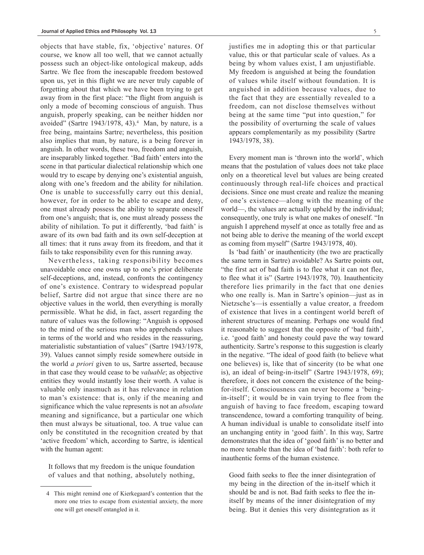objects that have stable, fix, 'objective' natures. Of course, we know all too well, that we cannot actually possess such an object-like ontological makeup, adds Sartre. We flee from the inescapable freedom bestowed upon us, yet in this flight we are never truly capable of forgetting about that which we have been trying to get away from in the first place: "the flight from anguish is only a mode of becoming conscious of anguish. Thus anguish, properly speaking, can be neither hidden nor avoided" (Sartre 1943/1978, 43).4 Man, by nature, is a free being, maintains Sartre; nevertheless, this position also implies that man, by nature, is a being forever in anguish. In other words, these two, freedom and anguish, are inseparably linked together. 'Bad faith' enters into the scene in that particular dialectical relationship which one would try to escape by denying one's existential anguish, along with one's freedom and the ability for nihilation. One is unable to successfully carry out this denial, however, for in order to be able to escape and deny, one must already possess the ability to separate oneself from one's anguish; that is, one must already possess the ability of nihilation. To put it differently, 'bad faith' is aware of its own bad faith and its own self-deception at all times: that it runs away from its freedom, and that it fails to take responsibility even for this running away.

Nevertheless, taking responsibility becomes unavoidable once one owns up to one's prior deliberate self-deceptions, and, instead, confronts the contingency of one's existence. Contrary to widespread popular belief, Sartre did not argue that since there are no objective values in the world, then everything is morally permissible. What he did, in fact, assert regarding the nature of values was the following: "Anguish is opposed to the mind of the serious man who apprehends values in terms of the world and who resides in the reassuring, materialistic substantiation of values" (Sartre 1943/1978, 39). Values cannot simply reside somewhere outside in the world *a priori* given to us, Sartre asserted, because in that case they would cease to be *valuable*; as objective entities they would instantly lose their worth. A value is valuable only inasmuch as it has relevance in relation to man's existence: that is, only if the meaning and significance which the value represents is not an *absolute* meaning and significance, but a particular one which then must always be situational, too. A true value can only be constituted in the recognition created by that 'active freedom' which, according to Sartre, is identical with the human agent:

It follows that my freedom is the unique foundation of values and that nothing, absolutely nothing,

justifies me in adopting this or that particular value, this or that particular scale of values. As a being by whom values exist, I am unjustifiable. My freedom is anguished at being the foundation of values while itself without foundation. It is anguished in addition because values, due to the fact that they are essentially revealed to a freedom, can not disclose themselves without being at the same time "put into question," for the possibility of overturning the scale of values appears complementarily as my possibility (Sartre 1943/1978, 38).

Every moment man is 'thrown into the world', which means that the postulation of values does not take place only on a theoretical level but values are being created continuously through real-life choices and practical decisions. Since one must create and realize the meaning of one's existence—along with the meaning of the world—, the values are actually upheld by the individual; consequently, one truly is what one makes of oneself. "In anguish I apprehend myself at once as totally free and as not being able to derive the meaning of the world except as coming from myself" (Sartre 1943/1978, 40).

Is 'bad faith' or inauthenticity (the two are practically the same term in Sartre) avoidable? As Sartre points out, "the first act of bad faith is to flee what it can not flee, to flee what it is" (Sartre 1943/1978, 70). Inauthenticity therefore lies primarily in the fact that one denies who one really is. Man in Sartre's opinion—just as in Nietzsche's—is essentially a value creator, a freedom of existence that lives in a contingent world bereft of inherent structures of meaning. Perhaps one would find it reasonable to suggest that the opposite of 'bad faith', i.e. 'good faith' and honesty could pave the way toward authenticity. Sartre's response to this suggestion is clearly in the negative. "The ideal of good faith (to believe what one believes) is, like that of sincerity (to be what one is), an ideal of being-in-itself" (Sartre 1943/1978, 69); therefore, it does not concern the existence of the beingfor-itself. Consciousness can never become a 'beingin-itself'; it would be in vain trying to flee from the anguish of having to face freedom, escaping toward transcendence, toward a comforting tranquility of being. A human individual is unable to consolidate itself into an unchanging entity in 'good faith'. In this way, Sartre demonstrates that the idea of 'good faith' is no better and no more tenable than the idea of 'bad faith': both refer to inauthentic forms of the human existence.

Good faith seeks to flee the inner disintegration of my being in the direction of the in-itself which it should be and is not. Bad faith seeks to flee the initself by means of the inner disintegration of my being. But it denies this very disintegration as it

<sup>4</sup> This might remind one of Kierkegaard's contention that the more one tries to escape from existential anxiety, the more one will get oneself entangled in it.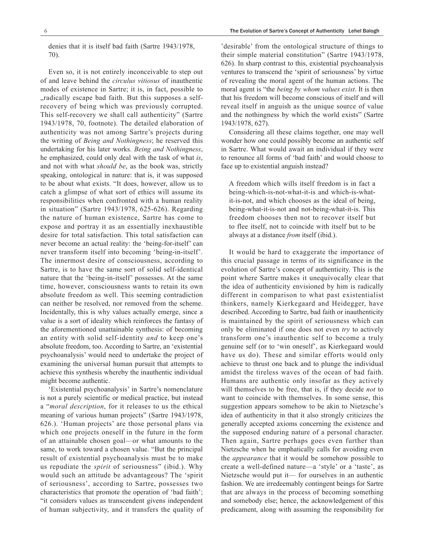denies that it is itself bad faith (Sartre 1943/1978, 70).

Even so, it is not entirely inconceivable to step out of and leave behind the *circulus vitiosus* of inauthentic modes of existence in Sartre; it is, in fact, possible to ", radically escape bad faith. But this supposes a selfrecovery of being which was previously corrupted. This self-recovery we shall call authenticity" (Sartre 1943/1978, 70, footnote). The detailed elaboration of authenticity was not among Sartre's projects during the writing of *Being and Nothingness*; he reserved this undertaking for his later works. *Being and Nothingness*, he emphasized, could only deal with the task of what *is*, and not with what *should be*, as the book was, strictly speaking, ontological in nature: that is, it was supposed to be about what exists. "It does, however, allow us to catch a glimpse of what sort of ethics will assume its responsibilities when confronted with a human reality in situation" (Sartre 1943/1978, 625-626). Regarding the nature of human existence, Sartre has come to expose and portray it as an essentially inexhaustible desire for total satisfaction. This total satisfaction can never become an actual reality: the 'being-for-itself' can never transform itself into becoming 'being-in-itself'. The innermost desire of consciousness, according to Sartre, is to have the same sort of solid self-identical nature that the 'being-in-itself' possesses. At the same time, however, consciousness wants to retain its own absolute freedom as well. This seeming contradiction can neither be resolved, nor removed from the scheme. Incidentally, this is why values actually emerge, since a value is a sort of ideality which reinforces the fantasy of the aforementioned unattainable synthesis: of becoming an entity with solid self-identity *and* to keep one's absolute freedom, too. According to Sartre, an 'existential psychoanalysis' would need to undertake the project of examining the universal human pursuit that attempts to achieve this synthesis whereby the inauthentic individual might become authentic.

'Existential psychoanalysis' in Sartre's nomenclature is not a purely scientific or medical practice, but instead a "*moral description*, for it releases to us the ethical meaning of various human projects" (Sartre 1943/1978, 626.). 'Human projects' are those personal plans via which one projects oneself in the future in the form of an attainable chosen goal—or what amounts to the same, to work toward a chosen value. "But the principal result of existential psychoanalysis must be to make us repudiate the *spirit* of seriousness" (ibid.). Why would such an attitude be advantageous? The 'spirit of seriousness', according to Sartre, possesses two characteristics that promote the operation of 'bad faith'; "it considers values as transcendent givens independent of human subjectivity, and it transfers the quality of

'desirable' from the ontological structure of things to their simple material constitution" (Sartre 1943/1978, 626). In sharp contrast to this, existential psychoanalysis ventures to transcend the 'spirit of seriousness' by virtue of revealing the moral agent of the human actions. The moral agent is "the *being by whom values exist*. It is then that his freedom will become conscious of itself and will reveal itself in anguish as the unique source of value and the nothingness by which the world exists" (Sartre 1943/1978, 627).

Considering all these claims together, one may well wonder how one could possibly become an authentic self in Sartre. What would await an individual if they were to renounce all forms of 'bad faith' and would choose to face up to existential anguish instead?

A freedom which wills itself freedom is in fact a being-which-is-not-what-it-is and which-is-whatit-is-not, and which chooses as the ideal of being, being-what-it-is-not and not-being-what-it-is. This freedom chooses then not to recover itself but to flee itself, not to coincide with itself but to be always at a distance *from* itself (ibid.).

It would be hard to exaggerate the importance of this crucial passage in terms of its significance in the evolution of Sartre's concept of authenticity. This is the point where Sartre makes it unequivocally clear that the idea of authenticity envisioned by him is radically different in comparison to what past existentialist thinkers, namely Kierkegaard and Heidegger, have described. According to Sartre, bad faith or inauthenticity is maintained by the spirit of seriousness which can only be eliminated if one does not even *try* to actively transform one's inauthentic self to become a truly genuine self (or to 'win oneself', as Kierkegaard would have us do). These and similar efforts would only achieve to thrust one back and to plunge the individual amidst the tireless waves of the ocean of bad faith. Humans are authentic only insofar as they actively will themselves to be free, that is, if they decide *not* to want to coincide with themselves. In some sense, this suggestion appears somehow to be akin to Nietzsche's idea of authenticity in that it also strongly criticizes the generally accepted axioms concerning the existence and the supposed enduring nature of a personal character. Then again, Sartre perhaps goes even further than Nietzsche when he emphatically calls for avoiding even the *appearance* that it would be somehow possible to create a well-defined nature—a 'style' or a 'taste', as Nietzsche would put it— for ourselves in an authentic fashion. We are irredeemably contingent beings for Sartre that are always in the process of becoming something and somebody else; hence, the acknowledgement of this predicament, along with assuming the responsibility for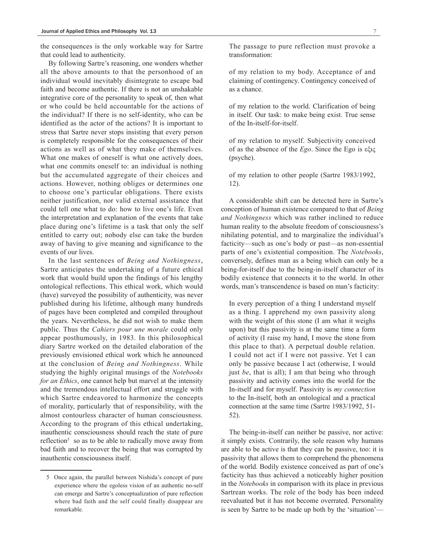the consequences is the only workable way for Sartre that could lead to authenticity.

By following Sartre's reasoning, one wonders whether all the above amounts to that the personhood of an individual would inevitably disintegrate to escape bad faith and become authentic. If there is not an unshakable integrative core of the personality to speak of, then what or who could be held accountable for the actions of the individual? If there is no self-identity, who can be identified as the actor of the actions? It is important to stress that Sartre never stops insisting that every person is completely responsible for the consequences of their actions as well as of what they make of themselves. What one makes of oneself is what one actively does, what one commits oneself to: an individual is nothing but the accumulated aggregate of their choices and actions. However, nothing obliges or determines one to choose one's particular obligations. There exists neither justification, nor valid external assistance that could tell one what to do: how to live one's life. Even the interpretation and explanation of the events that take place during one's lifetime is a task that only the self entitled to carry out; nobody else can take the burden away of having to give meaning and significance to the events of our lives.

In the last sentences of *Being and Nothingness*, Sartre anticipates the undertaking of a future ethical work that would build upon the findings of his lengthy ontological reflections. This ethical work, which would (have) surveyed the possibility of authenticity, was never published during his lifetime, although many hundreds of pages have been completed and compiled throughout the years. Nevertheless, he did not wish to make them public. Thus the *Cahiers pour une morale* could only appear posthumously, in 1983. In this philosophical diary Sartre worked on the detailed elaboration of the previously envisioned ethical work which he announced at the conclusion of *Being and Nothingness*. While studying the highly original musings of the *Notebooks for an Ethics*, one cannot help but marvel at the intensity and the tremendous intellectual effort and struggle with which Sartre endeavored to harmonize the concepts of morality, particularly that of responsibility, with the almost contourless character of human consciousness. According to the program of this ethical undertaking, inauthentic consciousness should reach the state of pure reflection<sup>5</sup> so as to be able to radically move away from bad faith and to recover the being that was corrupted by inauthentic consciousness itself.

The passage to pure reflection must provoke a transformation:

of my relation to my body. Acceptance of and claiming of contingency. Contingency conceived of as a chance.

of my relation to the world. Clarification of being in itself. Our task: to make being exist. True sense of the In-itself-for-itself.

of my relation to myself. Subjectivity conceived of as the absence of the *Ego*. Since the Ego is εξις (psyche).

of my relation to other people (Sartre 1983/1992, 12).

A considerable shift can be detected here in Sartre's conception of human existence compared to that of *Being and Nothingness* which was rather inclined to reduce human reality to the absolute freedom of consciousness's nihilating potential, and to marginalize the individual's facticity—such as one's body or past—as non-essential parts of one's existential composition. The *Notebooks*, conversely, defines man as a being which can only be a being-for-itself due to the being-in-itself character of its bodily existence that connects it to the world. In other words, man's transcendence is based on man's facticity:

In every perception of a thing I understand myself as a thing. I apprehend my own passivity along with the weight of this stone (I am what it weighs upon) but this passivity is at the same time a form of activity (I raise my hand, I move the stone from this place to that). A perpetual double relation. I could not act if I were not passive. Yet I can only be passive because I act (otherwise, I would just *be*, that is all); I am that being who through passivity and activity comes into the world for the In-itself and for myself. Passivity is *my connection* to the In-itself, both an ontological and a practical connection at the same time (Sartre 1983/1992, 51- 52).

The being-in-itself can neither be passive, nor active: it simply exists. Contrarily, the sole reason why humans are able to be active is that they can be passive, too: it is passivity that allows them to comprehend the phenomena of the world. Bodily existence conceived as part of one's facticity has thus achieved a noticeably higher position in the *Notebooks* in comparison with its place in previous Sartrean works. The role of the body has been indeed reevaluated but it has not become overrated. Personality is seen by Sartre to be made up both by the 'situation'—

<sup>5</sup> Once again, the parallel between Nishida's concept of pure experience where the egoless vision of an authentic no-self can emerge and Sartre's conceptualization of pure reflection where bad faith and the self could finally disappear are remarkable.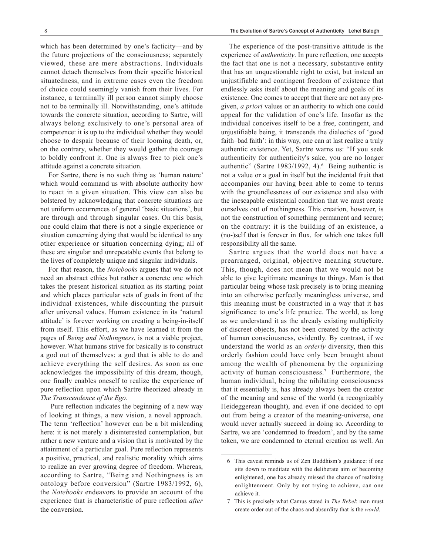which has been determined by one's facticity—and by the future projections of the consciousness; separately viewed, these are mere abstractions. Individuals cannot detach themselves from their specific historical situatedness, and in extreme cases even the freedom of choice could seemingly vanish from their lives. For instance, a terminally ill person cannot simply choose not to be terminally ill. Notwithstanding, one's attitude towards the concrete situation, according to Sartre, will always belong exclusively to one's personal area of competence: it is up to the individual whether they would choose to despair because of their looming death, or, on the contrary, whether they would gather the courage to boldly confront it. One is always free to pick one's attitude against a concrete situation.

For Sartre, there is no such thing as 'human nature' which would command us with absolute authority how to react in a given situation. This view can also be bolstered by acknowledging that concrete situations are not uniform occurrences of general 'basic situations', but are through and through singular cases. On this basis, one could claim that there is not a single experience or situation concerning dying that would be identical to any other experience or situation concerning dying; all of these are singular and unrepeatable events that belong to the lives of completely unique and singular individuals.

For that reason, the *Notebooks* argues that we do not need an abstract ethics but rather a concrete one which takes the present historical situation as its starting point and which places particular sets of goals in front of the individual existences, while discounting the pursuit after universal values. Human existence in its 'natural attitude' is forever working on creating a being-in-itself from itself. This effort, as we have learned it from the pages of *Being and Nothingness*, is not a viable project, however. What humans strive for basically is to construct a god out of themselves: a god that is able to do and achieve everything the self desires. As soon as one acknowledges the impossibility of this dream, though, one finally enables oneself to realize the experience of pure reflection upon which Sartre theorized already in *The Transcendence of the Ego*.

 Pure reflection indicates the beginning of a new way of looking at things, a new vision, a novel approach. The term 'reflection' however can be a bit misleading here: it is not merely a disinterested contemplation, but rather a new venture and a vision that is motivated by the attainment of a particular goal. Pure reflection represents a positive, practical, and realistic morality which aims to realize an ever growing degree of freedom. Whereas, according to Sartre, "Being and Nothingness is an ontology before conversion" (Sartre 1983/1992, 6), the *Notebooks* endeavors to provide an account of the experience that is characteristic of pure reflection *after* the conversion.

The experience of the post-transitive attitude is the experience of *authenticity*. In pure reflection, one accepts the fact that one is not a necessary, substantive entity that has an unquestionable right to exist, but instead an unjustifiable and contingent freedom of existence that endlessly asks itself about the meaning and goals of its existence. One comes to accept that there are not any pregiven, *a priori* values or an authority to which one could appeal for the validation of one's life. Insofar as the individual conceives itself to be a free, contingent, and unjustifiable being, it transcends the dialectics of 'good faith–bad faith': in this way, one can at last realize a truly authentic existence. Yet, Sartre warns us: "If you seek authenticity for authenticity's sake, you are no longer authentic" (Sartre 1983/1992, 4). $6$  Being authentic is not a value or a goal in itself but the incidental fruit that accompanies our having been able to come to terms with the groundlessness of our existence and also with the inescapable existential condition that we must create ourselves out of nothingness. This creation, however, is not the construction of something permanent and secure; on the contrary: it is the building of an existence, a (no-)self that is forever in flux, for which one takes full responsibility all the same.

Sartre argues that the world does not have a prearranged, original, objective meaning structure. This, though, does not mean that we would not be able to give legitimate meanings to things. Man is that particular being whose task precisely is to bring meaning into an otherwise perfectly meaningless universe, and this meaning must be constructed in a way that it has significance to one's life practice. The world, as long as we understand it as the already existing multiplicity of discreet objects, has not been created by the activity of human consciousness, evidently. By contrast, if we understand the world as an *orderly* diversity, then this orderly fashion could have only been brought about among the wealth of phenomena by the organizing activity of human consciousness.7 Furthermore, the human individual, being the nihilating consciousness that it essentially is, has already always been the creator of the meaning and sense of the world (a recognizably Heideggerean thought), and even if one decided to opt out from being a creator of the meaning-universe, one would never actually succeed in doing so. According to Sartre, we are 'condemned to freedom', and by the same token, we are condemned to eternal creation as well. An

<sup>6</sup> This caveat reminds us of Zen Buddhism's guidance: if one sits down to meditate with the deliberate aim of becoming enlightened, one has already missed the chance of realizing enlightenment. Only by not trying to achieve, can one achieve it.

<sup>7</sup> This is precisely what Camus stated in *The Rebel*: man must create order out of the chaos and absurdity that is the *world*.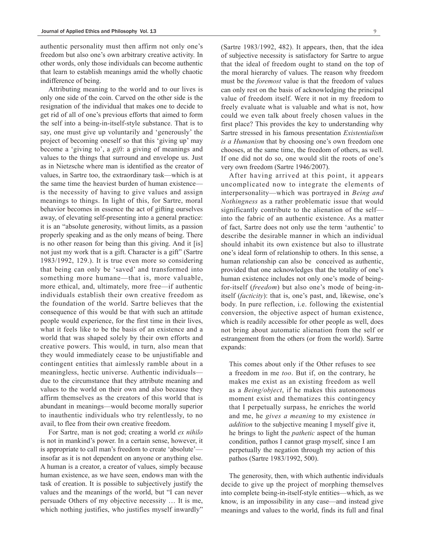authentic personality must then affirm not only one's freedom but also one's own arbitrary creative activity. In other words, only those individuals can become authentic that learn to establish meanings amid the wholly chaotic indifference of being.

Attributing meaning to the world and to our lives is only one side of the coin. Carved on the other side is the resignation of the individual that makes one to decide to get rid of all of one's previous efforts that aimed to form the self into a being-in-itself-style substance. That is to say, one must give up voluntarily and 'generously' the project of becoming oneself so that this 'giving up' may become a 'giving to', a *gift*: a giving of meanings and values to the things that surround and envelope us. Just as in Nietzsche where man is identified as the creator of values, in Sartre too, the extraordinary task—which is at the same time the heaviest burden of human existence is the necessity of having to give values and assign meanings to things. In light of this, for Sartre, moral behavior becomes in essence the act of gifting ourselves away, of elevating self-presenting into a general practice: it is an "absolute generosity, without limits, as a passion properly speaking and as the only means of being. There is no other reason for being than this giving. And it [is] not just my work that is a gift. Character is a gift" (Sartre 1983/1992, 129.). It is true even more so considering that being can only be 'saved' and transformed into something more humane—that is, more valuable, more ethical, and, ultimately, more free—if authentic individuals establish their own creative freedom as the foundation of the world. Sartre believes that the consequence of this would be that with such an attitude people would experience, for the first time in their lives, what it feels like to be the basis of an existence and a world that was shaped solely by their own efforts and creative powers. This would, in turn, also mean that they would immediately cease to be unjustifiable and contingent entities that aimlessly ramble about in a meaningless, hectic universe. Authentic individuals due to the circumstance that they attribute meaning and values to the world on their own and also because they affirm themselves as the creators of this world that is abundant in meanings—would become morally superior to inauthentic individuals who try relentlessly, to no avail, to flee from their own creative freedom.

For Sartre, man is not god; creating a world *ex nihilo*  is not in mankind's power. In a certain sense, however, it is appropriate to call man's freedom to create 'absolute' insofar as it is not dependent on anyone or anything else. A human is a creator, a creator of values, simply because human existence, as we have seen, endows man with the task of creation. It is possible to subjectively justify the values and the meanings of the world, but "I can never persuade Others of my objective necessity … It is me, which nothing justifies, who justifies myself inwardly"

(Sartre 1983/1992, 482). It appears, then, that the idea of subjective necessity is satisfactory for Sartre to argue that the ideal of freedom ought to stand on the top of the moral hierarchy of values. The reason why freedom must be the *foremost* value is that the freedom of values can only rest on the basis of acknowledging the principal value of freedom itself. Were it not in my freedom to freely evaluate what is valuable and what is not, how could we even talk about freely chosen values in the first place? This provides the key to understanding why Sartre stressed in his famous presentation *Existentialism is a Humanism* that by choosing one's own freedom one chooses, at the same time, the freedom of others, as well. If one did not do so, one would slit the roots of one's very own freedom (Sartre 1946/2007).

After having arrived at this point, it appears uncomplicated now to integrate the elements of interpersonality—which was portrayed in *Being and Nothingness* as a rather problematic issue that would significantly contribute to the alienation of the self into the fabric of an authentic existence. As a matter of fact, Sartre does not only use the term 'authentic' to describe the desirable manner in which an individual should inhabit its own existence but also to illustrate one's ideal form of relationship to others. In this sense, a human relationship can also be conceived as authentic, provided that one acknowledges that the totality of one's human existence includes not only one's mode of beingfor-itself (*freedom*) but also one's mode of being-initself (*facticity*): that is, one's past, and, likewise, one's body. In pure reflection, i.e. following the existential conversion, the objective aspect of human existence, which is readily accessible for other people as well, does not bring about automatic alienation from the self or estrangement from the others (or from the world). Sartre expands:

This comes about only if the Other refuses to see a freedom in me *too*. But if, on the contrary, he makes me exist as an existing freedom as well as a *Being/object*, if he makes this autonomous moment exist and thematizes this contingency that I perpetually surpass, he enriches the world and me, he *gives a meaning* to my existence *in addition* to the subjective meaning I myself give it, he brings to light the *pathetic* aspect of the human condition, pathos I cannot grasp myself, since I am perpetually the negation through my action of this pathos (Sartre 1983/1992, 500).

The generosity, then, with which authentic individuals decide to give up the project of morphing themselves into complete being-in-itself-style entities—which, as we know, is an impossibility in any case—and instead give meanings and values to the world, finds its full and final